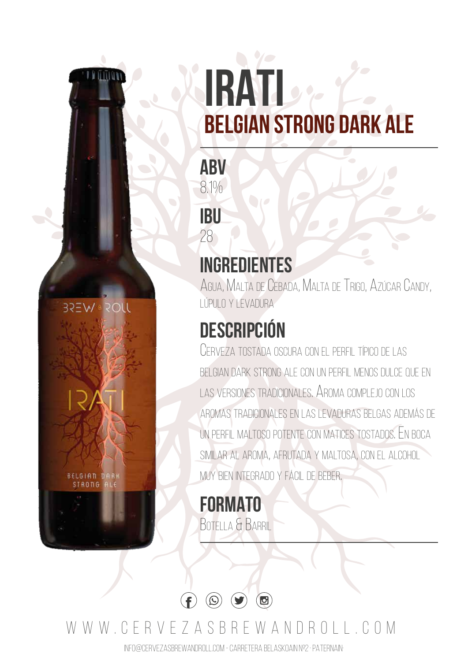**ABV** 8.1% **IBU**

28

**JJOS ® VJESE** 

**BELGIAN DA STRONG** 

### **INGREDIENTES**

AGUA, MALTA DE CEBADA, MALTA DE TRIGO, AZÚCAR CANDY, LÚPULO <sup>Y</sup> LEVADURA

## **DESCRIPCIÓN**

CERVEZA TOSTADA OSCURA CON EL PERFIL TÍPICO DE LAS BELGIAN DARK STRONG ALE CON UN PERFIL MENOS DULCE OUF EN LAS VERSIONES TRADICIONALES. AROMA COMPLEJO CON LOS AROMAS TRADICIONALES EN LAS LEVADURAS BELGAS ADEMÁS DE UN PERFIL MALTOSO POTENTE CON MATICES TOSTADOS. EN BOCA SIMILAR AL AROMA, AFRUTADA Y MALTOSA, CON EL ALCOHOL MUY BIEN INTEGRADO Y FÁCIL DE BEBER.

**FORMATO** BOTELLA & BARRIL



 $\left( \odot \right)$ 

 $\bullet$ 

G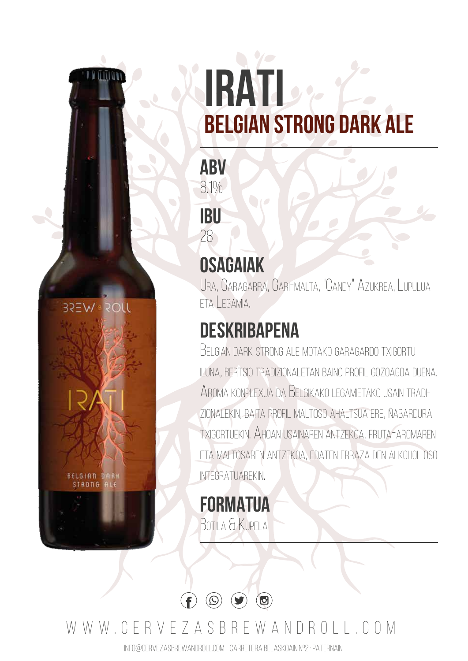**ABV** 8.1%

**IBU** 28

**JJOS ® VJESE** 

**BELGIAN DA STRONG** 

### **OSAGAIAK**

URA, GARAGARRA, GARI-MALTA, "CANDY" AZUKREA, LUPULUA ETA LEGAMIA.

#### **DESKRIBAPENA**

BELGIAN DARK STRONG ALE MOTAKO GARAGARDO TXIGORTU ILUNA, BERTSIO TRADIZIONALETAN BAINO PROFIL GOZOAGOA DUENA. AROMA KONPLEXUA DA BELGIKAKO LEGAMIETAKO USAIN TRADI-ZIONALEKIN, BAITA PROFIL MALTOSO AHALTSUA ERE, ÑABARDURA TXIGORTUEKIN. AHOAN USAINAREN ANTZEKOA, FRUTA-AROMAREN ETA MALTOSAREN ANTZEKOA, EDATEN ERRAZA DEN ALKOHOL OSO INTEGRATUAREKIN.

#### **FORMATUA** BOTILA & KUPELA

WWW.CERVEZAS RREWANDROLL.COM

 $\bigcirc$ 

 $\bullet$ 

G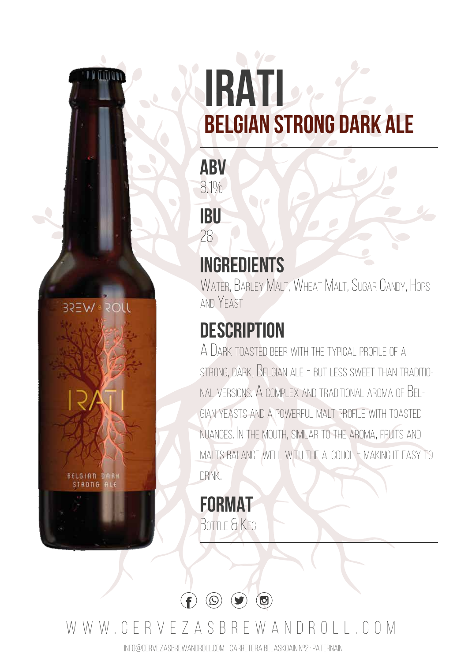**ABV** 8.1% **IBU**

28

**JJOS ® VJESE** 

**BELGIAN DAF STRONG** 

#### **INGREDIENTS**

WATER, BARLEY MALT, WHEAT MALT, SUGAR CANDY, HOPS AND YEAST

#### **DESCRIPTION**

A DARK TOASTED BEER WITH THE TYPICAL PROFILE OF A STRONG, DARK, BELGIAN ALE - BUT LESS SWEET THAN TRADITIO-NAL VERSIONS. A COMPLEX AND TRADITIONAL AROMA OF BEL-GIAN YEASTS AND A POWERFUL MALT PROFILE WITH TOASTED NUANCES. IN THE MOUTH, SIMILAR TO THE AROMA, FRUITS AND MALTS BALANCE WELL WITH THE ALCOHOL - MAKING IT EASY TO DRINK.

**FORMAT** BOTTLE & KEG

WWW.CERVEZAS RREWANDROLL.COM

 $\bigcirc$ 

 $\bullet$ 

 $\bigoplus$